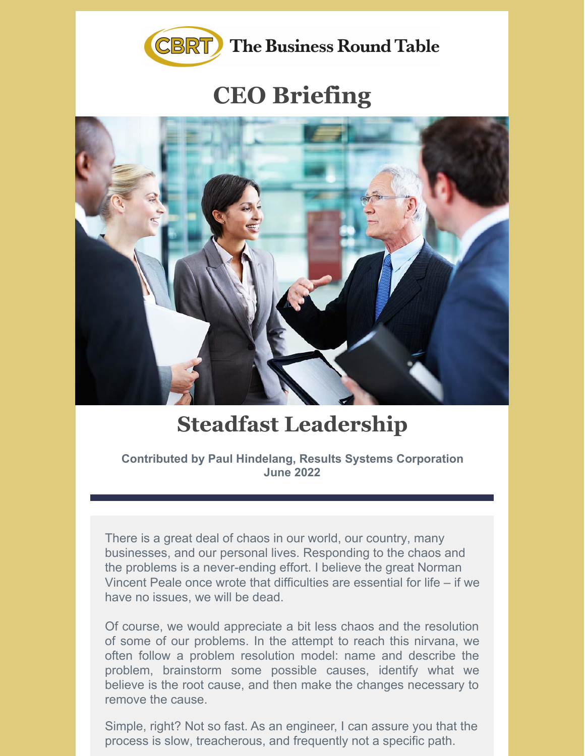

## **CEO Briefing**



## **Steadfast Leadership**

**Contributed by Paul Hindelang, Results Systems Corporation June 2022**

There is a great deal of chaos in our world, our country, many businesses, and our personal lives. Responding to the chaos and the problems is a never-ending effort. I believe the great Norman Vincent Peale once wrote that difficulties are essential for life – if we have no issues, we will be dead.

Of course, we would appreciate a bit less chaos and the resolution of some of our problems. In the attempt to reach this nirvana, we often follow a problem resolution model: name and describe the problem, brainstorm some possible causes, identify what we believe is the root cause, and then make the changes necessary to remove the cause.

Simple, right? Not so fast. As an engineer, I can assure you that the process is slow, treacherous, and frequently not a specific path.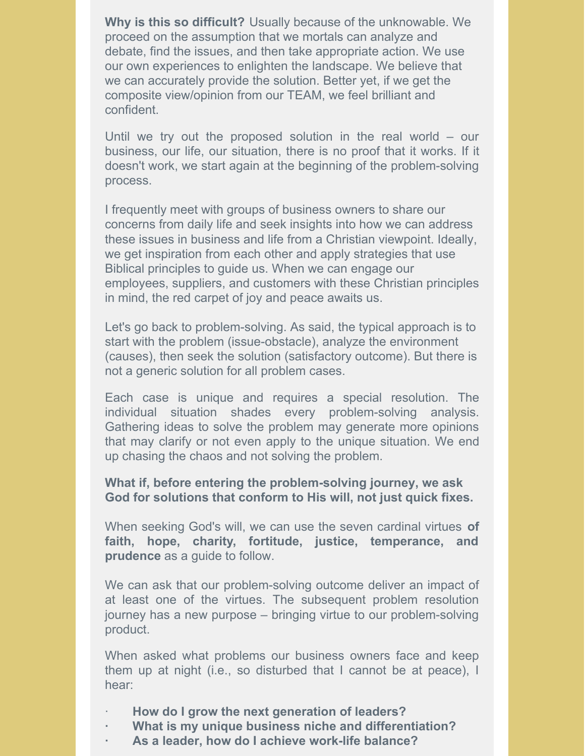**Why is this so difficult?** Usually because of the unknowable. We proceed on the assumption that we mortals can analyze and debate, find the issues, and then take appropriate action. We use our own experiences to enlighten the landscape. We believe that we can accurately provide the solution. Better yet, if we get the composite view/opinion from our TEAM, we feel brilliant and confident.

Until we try out the proposed solution in the real world – our business, our life, our situation, there is no proof that it works. If it doesn't work, we start again at the beginning of the problem-solving process.

I frequently meet with groups of business owners to share our concerns from daily life and seek insights into how we can address these issues in business and life from a Christian viewpoint. Ideally, we get inspiration from each other and apply strategies that use Biblical principles to guide us. When we can engage our employees, suppliers, and customers with these Christian principles in mind, the red carpet of joy and peace awaits us.

Let's go back to problem-solving. As said, the typical approach is to start with the problem (issue-obstacle), analyze the environment (causes), then seek the solution (satisfactory outcome). But there is not a generic solution for all problem cases.

Each case is unique and requires a special resolution. The individual situation shades every problem-solving analysis. Gathering ideas to solve the problem may generate more opinions that may clarify or not even apply to the unique situation. We end up chasing the chaos and not solving the problem.

## **What if, before entering the problem-solving journey, we ask God for solutions that conform to His will, not just quick fixes.**

When seeking God's will, we can use the seven cardinal virtues **of faith, hope, charity, fortitude, justice, temperance, and prudence** as a guide to follow.

We can ask that our problem-solving outcome deliver an impact of at least one of the virtues. The subsequent problem resolution journey has a new purpose – bringing virtue to our problem-solving product.

When asked what problems our business owners face and keep them up at night (i.e., so disturbed that I cannot be at peace), I hear:

- · **How do I grow the next generation of leaders?**
- **· What is my unique business niche and differentiation?**
- **· As a leader, how do I achieve work-life balance?**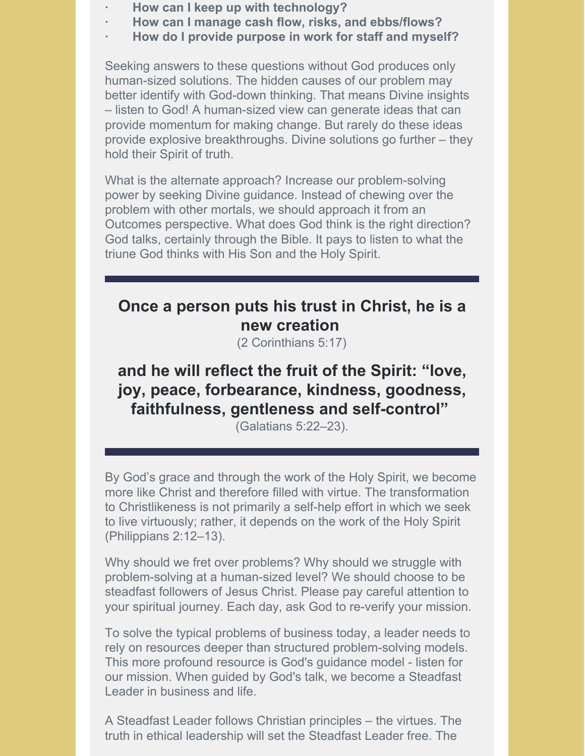- **· How can I keep up with technology?**
- **· How can I manage cash flow, risks, and ebbs/flows?**
- **· How do I provide purpose in work for staff and myself?**

Seeking answers to these questions without God produces only human-sized solutions. The hidden causes of our problem may better identify with God-down thinking. That means Divine insights – listen to God! A human-sized view can generate ideas that can provide momentum for making change. But rarely do these ideas provide explosive breakthroughs. Divine solutions go further – they hold their Spirit of truth.

What is the alternate approach? Increase our problem-solving power by seeking Divine guidance. Instead of chewing over the problem with other mortals, we should approach it from an Outcomes perspective. What does God think is the right direction? God talks, certainly through the Bible. It pays to listen to what the triune God thinks with His Son and the Holy Spirit.

## **Once a person puts his trust in Christ, he is a new creation**

(2 Corinthians 5:17)

**and he will reflect the fruit of the Spirit: "love, joy, peace, forbearance, kindness, goodness, faithfulness, gentleness and self-control"**

(Galatians 5:22–23).

By God's grace and through the work of the Holy Spirit, we become more like Christ and therefore filled with virtue. The transformation to Christlikeness is not primarily a self-help effort in which we seek to live virtuously; rather, it depends on the work of the Holy Spirit (Philippians 2:12–13).

Why should we fret over problems? Why should we struggle with problem-solving at a human-sized level? We should choose to be steadfast followers of Jesus Christ. Please pay careful attention to your spiritual journey. Each day, ask God to re-verify your mission.

To solve the typical problems of business today, a leader needs to rely on resources deeper than structured problem-solving models. This more profound resource is God's guidance model - listen for our mission. When guided by God's talk, we become a Steadfast Leader in business and life.

A Steadfast Leader follows Christian principles – the virtues. The truth in ethical leadership will set the Steadfast Leader free. The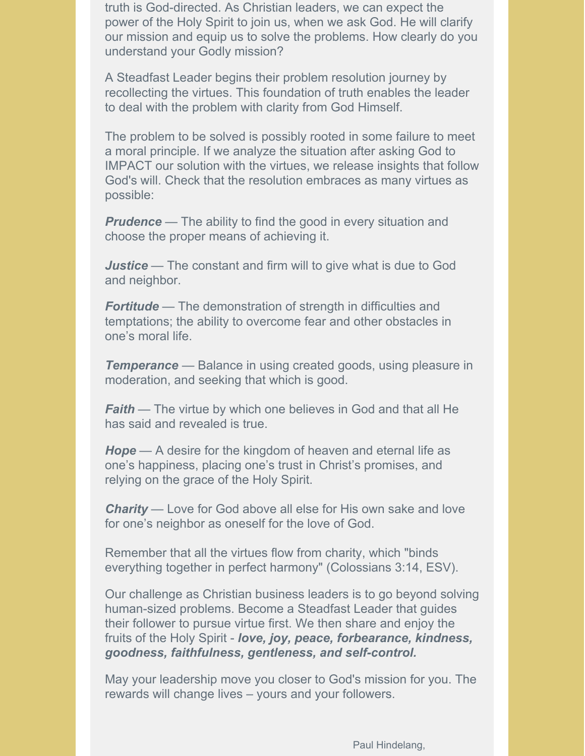truth is God-directed. As Christian leaders, we can expect the power of the Holy Spirit to join us, when we ask God. He will clarify our mission and equip us to solve the problems. How clearly do you understand your Godly mission?

A Steadfast Leader begins their problem resolution journey by recollecting the virtues. This foundation of truth enables the leader to deal with the problem with clarity from God Himself.

The problem to be solved is possibly rooted in some failure to meet a moral principle. If we analyze the situation after asking God to IMPACT our solution with the virtues, we release insights that follow God's will. Check that the resolution embraces as many virtues as possible:

**Prudence** — The ability to find the good in every situation and choose the proper means of achieving it.

*Justice* — The constant and firm will to give what is due to God and neighbor.

**Fortitude** — The demonstration of strength in difficulties and temptations; the ability to overcome fear and other obstacles in one's moral life.

**Temperance** — Balance in using created goods, using pleasure in moderation, and seeking that which is good.

*Faith* — The virtue by which one believes in God and that all He has said and revealed is true.

*Hope* — A desire for the kingdom of heaven and eternal life as one's happiness, placing one's trust in Christ's promises, and relying on the grace of the Holy Spirit.

*Charity* — Love for God above all else for His own sake and love for one's neighbor as oneself for the love of God.

Remember that all the virtues flow from charity, which "binds everything together in perfect harmony" (Colossians 3:14, ESV).

Our challenge as Christian business leaders is to go beyond solving human-sized problems. Become a Steadfast Leader that guides their follower to pursue virtue first. We then share and enjoy the fruits of the Holy Spirit - *love, joy, peace, forbearance, kindness, goodness, faithfulness, gentleness, and self-control.*

May your leadership move you closer to God's mission for you. The rewards will change lives – yours and your followers.

Paul Hindelang,